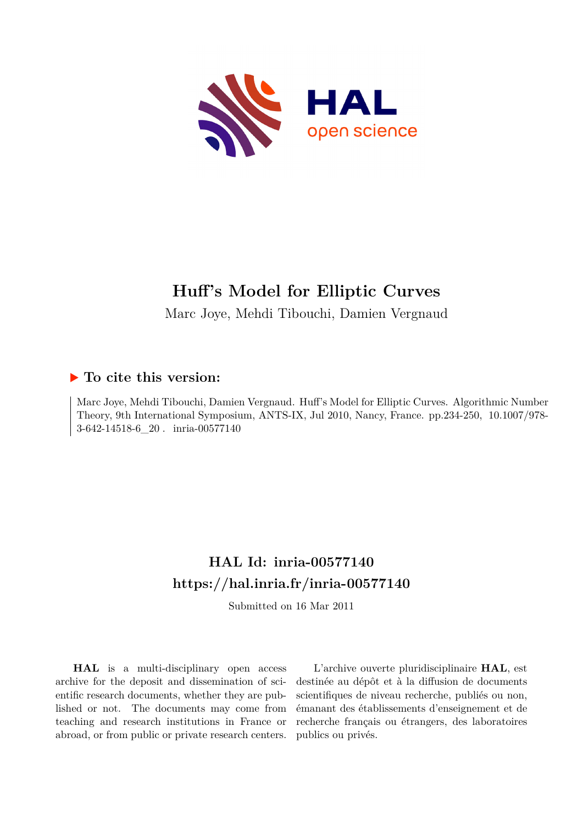

# **Huff's Model for Elliptic Curves**

Marc Joye, Mehdi Tibouchi, Damien Vergnaud

## **To cite this version:**

Marc Joye, Mehdi Tibouchi, Damien Vergnaud. Huff's Model for Elliptic Curves. Algorithmic Number Theory, 9th International Symposium, ANTS-IX, Jul 2010, Nancy, France. pp.234-250, 10.1007/978-3-642-14518-6 20 minia-00577140

# **HAL Id: inria-00577140 <https://hal.inria.fr/inria-00577140>**

Submitted on 16 Mar 2011

**HAL** is a multi-disciplinary open access archive for the deposit and dissemination of scientific research documents, whether they are published or not. The documents may come from teaching and research institutions in France or abroad, or from public or private research centers.

L'archive ouverte pluridisciplinaire **HAL**, est destinée au dépôt et à la diffusion de documents scientifiques de niveau recherche, publiés ou non, émanant des établissements d'enseignement et de recherche français ou étrangers, des laboratoires publics ou privés.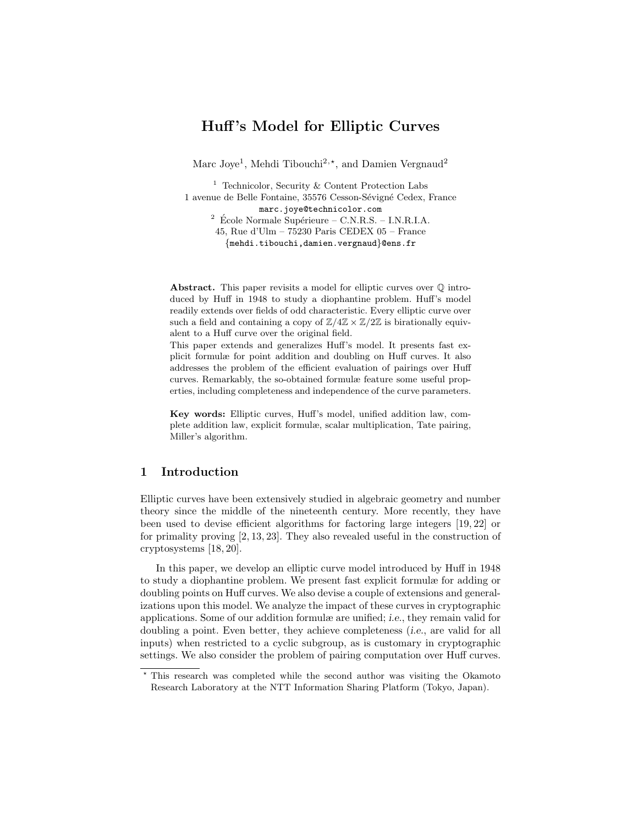## Huff 's Model for Elliptic Curves

Marc Joye<sup>1</sup>, Mehdi Tibouchi<sup>2,\*</sup>, and Damien Vergnaud<sup>2</sup>

<sup>1</sup> Technicolor, Security & Content Protection Labs 1 avenue de Belle Fontaine, 35576 Cesson-Sévigné Cedex, France marc.joye@technicolor.com  $2$  École Normale Supérieure – C.N.R.S. – I.N.R.I.A. 45, Rue d'Ulm – 75230 Paris CEDEX 05 – France {mehdi.tibouchi,damien.vergnaud}@ens.fr

Abstract. This paper revisits a model for elliptic curves over  $\mathbb Q$  introduced by Huff in 1948 to study a diophantine problem. Huff's model readily extends over fields of odd characteristic. Every elliptic curve over such a field and containing a copy of  $\mathbb{Z}/4\mathbb{Z} \times \mathbb{Z}/2\mathbb{Z}$  is birationally equivalent to a Huff curve over the original field.

This paper extends and generalizes Huff's model. It presents fast explicit formulæ for point addition and doubling on Huff curves. It also addresses the problem of the efficient evaluation of pairings over Huff curves. Remarkably, the so-obtained formulæ feature some useful properties, including completeness and independence of the curve parameters.

Key words: Elliptic curves, Huff's model, unified addition law, complete addition law, explicit formulæ, scalar multiplication, Tate pairing, Miller's algorithm.

## 1 Introduction

Elliptic curves have been extensively studied in algebraic geometry and number theory since the middle of the nineteenth century. More recently, they have been used to devise efficient algorithms for factoring large integers [19, 22] or for primality proving [2, 13, 23]. They also revealed useful in the construction of cryptosystems [18, 20].

In this paper, we develop an elliptic curve model introduced by Huff in 1948 to study a diophantine problem. We present fast explicit formulæ for adding or doubling points on Huff curves. We also devise a couple of extensions and generalizations upon this model. We analyze the impact of these curves in cryptographic applications. Some of our addition formulæ are unified; i.e., they remain valid for doubling a point. Even better, they achieve completeness *(i.e., are valid for all* inputs) when restricted to a cyclic subgroup, as is customary in cryptographic settings. We also consider the problem of pairing computation over Huff curves.

<sup>⋆</sup> This research was completed while the second author was visiting the Okamoto Research Laboratory at the NTT Information Sharing Platform (Tokyo, Japan).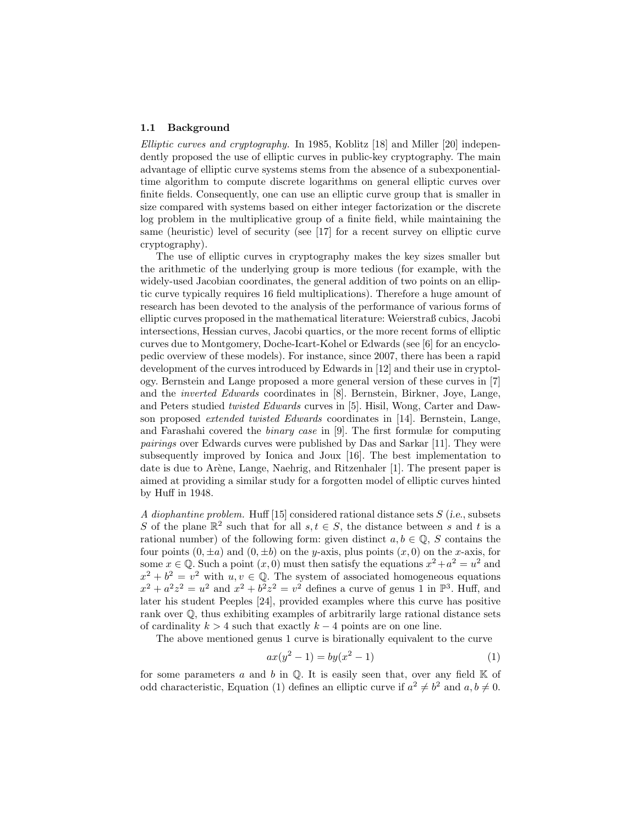#### 1.1 Background

Elliptic curves and cryptography. In 1985, Koblitz [18] and Miller [20] independently proposed the use of elliptic curves in public-key cryptography. The main advantage of elliptic curve systems stems from the absence of a subexponentialtime algorithm to compute discrete logarithms on general elliptic curves over finite fields. Consequently, one can use an elliptic curve group that is smaller in size compared with systems based on either integer factorization or the discrete log problem in the multiplicative group of a finite field, while maintaining the same (heuristic) level of security (see [17] for a recent survey on elliptic curve cryptography).

The use of elliptic curves in cryptography makes the key sizes smaller but the arithmetic of the underlying group is more tedious (for example, with the widely-used Jacobian coordinates, the general addition of two points on an elliptic curve typically requires 16 field multiplications). Therefore a huge amount of research has been devoted to the analysis of the performance of various forms of elliptic curves proposed in the mathematical literature: Weierstraß cubics, Jacobi intersections, Hessian curves, Jacobi quartics, or the more recent forms of elliptic curves due to Montgomery, Doche-Icart-Kohel or Edwards (see [6] for an encyclopedic overview of these models). For instance, since 2007, there has been a rapid development of the curves introduced by Edwards in [12] and their use in cryptology. Bernstein and Lange proposed a more general version of these curves in [7] and the inverted Edwards coordinates in [8]. Bernstein, Birkner, Joye, Lange, and Peters studied twisted Edwards curves in [5]. Hisil, Wong, Carter and Dawson proposed extended twisted Edwards coordinates in [14]. Bernstein, Lange, and Farashahi covered the binary case in [9]. The first formulæ for computing pairings over Edwards curves were published by Das and Sarkar [11]. They were subsequently improved by Ionica and Joux [16]. The best implementation to date is due to Arène, Lange, Naehrig, and Ritzenhaler [1]. The present paper is aimed at providing a similar study for a forgotten model of elliptic curves hinted by Huff in 1948.

A diophantine problem. Huff [15] considered rational distance sets S (i.e., subsets S of the plane  $\mathbb{R}^2$  such that for all  $s, t \in S$ , the distance between s and t is a rational number) of the following form: given distinct  $a, b \in \mathbb{Q}$ , S contains the four points  $(0, \pm a)$  and  $(0, \pm b)$  on the y-axis, plus points  $(x, 0)$  on the x-axis, for some  $x \in \mathbb{Q}$ . Such a point  $(x, 0)$  must then satisfy the equations  $x^2 + a^2 = u^2$  and  $x^2 + b^2 = v^2$  with  $u, v \in \mathbb{Q}$ . The system of associated homogeneous equations  $x^2 + a^2z^2 = u^2$  and  $x^2 + b^2z^2 = v^2$  defines a curve of genus 1 in  $\mathbb{P}^3$ . Huff, and later his student Peeples [24], provided examples where this curve has positive rank over Q, thus exhibiting examples of arbitrarily large rational distance sets of cardinality  $k > 4$  such that exactly  $k - 4$  points are on one line.

The above mentioned genus 1 curve is birationally equivalent to the curve

$$
ax(y^2 - 1) = by(x^2 - 1)
$$
 (1)

for some parameters a and b in  $\mathbb Q$ . It is easily seen that, over any field  $\mathbb K$  of odd characteristic, Equation (1) defines an elliptic curve if  $a^2 \neq b^2$  and  $a, b \neq 0$ .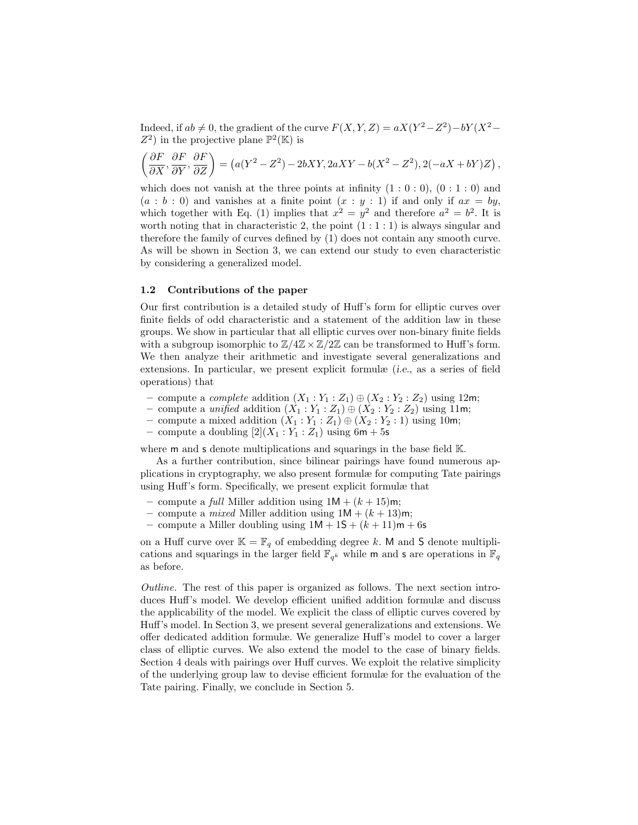Indeed, if  $ab \neq 0$ , the gradient of the curve  $F(X, Y, Z) = aX(Y^2 - Z^2) - bY(X^2 - Z^2)$  $Z^2$ ) in the projective plane  $\mathbb{P}^2(\mathbb{K})$  is

$$
\left(\frac{\partial F}{\partial X}, \frac{\partial F}{\partial Y}, \frac{\partial F}{\partial Z}\right) = \left(a(Y^2 - Z^2) - 2bXY, 2aXY - b(X^2 - Z^2), 2(-aX + bY)Z\right),
$$

which does not vanish at the three points at infinity  $(1:0:0)$ ,  $(0:1:0)$  and  $(a : b : 0)$  and vanishes at a finite point  $(x : y : 1)$  if and only if  $ax = by$ , which together with Eq. (1) implies that  $x^2 = y^2$  and therefore  $a^2 = b^2$ . It is worth noting that in characteristic 2, the point  $(1:1:1)$  is always singular and therefore the family of curves defined by (1) does not contain any smooth curve. As will be shown in Section 3, we can extend our study to even characteristic by considering a generalized model.

## 1.2 Contributions of the paper

Our first contribution is a detailed study of Huff's form for elliptic curves over finite fields of odd characteristic and a statement of the addition law in these groups. We show in particular that all elliptic curves over non-binary finite fields with a subgroup isomorphic to  $\mathbb{Z}/4\mathbb{Z} \times \mathbb{Z}/2\mathbb{Z}$  can be transformed to Huff's form. We then analyze their arithmetic and investigate several generalizations and extensions. In particular, we present explicit formulæ (i.e., as a series of field operations) that

- compute a *complete* addition  $(X_1 : Y_1 : Z_1) \oplus (X_2 : Y_2 : Z_2)$  using 12m;
- compute a unified addition  $(X_1 : Y_1 : Z_1) \oplus (X_2 : Y_2 : Z_2)$  using 11m;
- compute a mixed addition  $(X_1 : Y_1 : Z_1) \oplus (X_2 : Y_2 : 1)$  using 10m;
- compute a doubling  $[2](X_1 : Y_1 : Z_1)$  using 6m + 5s

where **m** and **s** denote multiplications and squarings in the base field  $K$ .

As a further contribution, since bilinear pairings have found numerous applications in cryptography, we also present formulæ for computing Tate pairings using Huff's form. Specifically, we present explicit formulæ that

- compute a *full* Miller addition using  $1M + (k + 15)m$ ;
- compute a *mixed* Miller addition using  $1M + (k+13)m$ ;
- compute a Miller doubling using  $1M + 1S + (k + 11)m + 6s$

on a Huff curve over  $\mathbb{K} = \mathbb{F}_q$  of embedding degree k. M and S denote multiplications and squarings in the larger field  $\mathbb{F}_{q^k}$  while m and s are operations in  $\mathbb{F}_q$ as before.

Outline. The rest of this paper is organized as follows. The next section introduces Huff's model. We develop efficient unified addition formulæ and discuss the applicability of the model. We explicit the class of elliptic curves covered by Huff's model. In Section 3, we present several generalizations and extensions. We offer dedicated addition formulæ. We generalize Huff's model to cover a larger class of elliptic curves. We also extend the model to the case of binary fields. Section 4 deals with pairings over Huff curves. We exploit the relative simplicity of the underlying group law to devise efficient formulæ for the evaluation of the Tate pairing. Finally, we conclude in Section 5.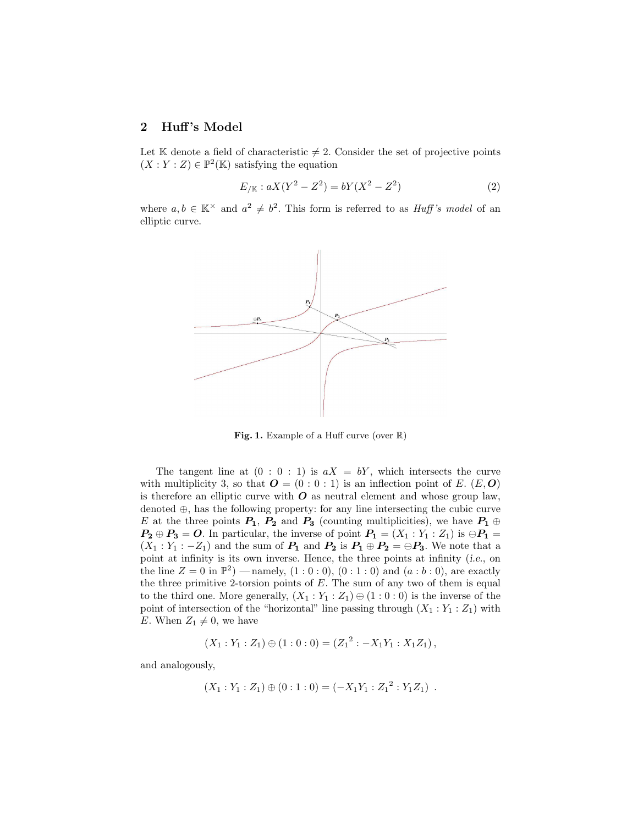## 2 Huff's Model

Let K denote a field of characteristic  $\neq 2$ . Consider the set of projective points  $(X:Y:Z) \in \mathbb{P}^2(\mathbb{K})$  satisfying the equation

$$
E_{/\mathbb{K}} : aX(Y^2 - Z^2) = bY(X^2 - Z^2)
$$
 (2)

where  $a, b \in \mathbb{K}^{\times}$  and  $a^2 \neq b^2$ . This form is referred to as *Huff's model* of an elliptic curve.



Fig. 1. Example of a Huff curve (over  $\mathbb{R}$ )

The tangent line at  $(0:0:1)$  is  $aX = bY$ , which intersects the curve with multiplicity 3, so that  $\mathbf{O} = (0:0:1)$  is an inflection point of E.  $(E,\mathbf{O})$ is therefore an elliptic curve with  $\boldsymbol{O}$  as neutral element and whose group law, denoted ⊕, has the following property: for any line intersecting the cubic curve E at the three points  $P_1$ ,  $P_2$  and  $P_3$  (counting multiplicities), we have  $P_1 \oplus$  $P_2 \oplus P_3 = 0$ . In particular, the inverse of point  $P_1 = (X_1 : Y_1 : Z_1)$  is  $\ominus P_1 =$  $(X_1: Y_1: -Z_1)$  and the sum of  $P_1$  and  $P_2$  is  $P_1 \oplus P_2 = \bigoplus P_3$ . We note that a point at infinity is its own inverse. Hence, the three points at infinity (i.e., on the line  $Z = 0$  in  $\mathbb{P}^2$ ) — namely,  $(1:0:0)$ ,  $(0:1:0)$  and  $(a:b:0)$ , are exactly the three primitive 2-torsion points of  $E$ . The sum of any two of them is equal to the third one. More generally,  $(X_1 : Y_1 : Z_1) \oplus (1 : 0 : 0)$  is the inverse of the point of intersection of the "horizontal" line passing through  $(X_1 : Y_1 : Z_1)$  with E. When  $Z_1 \neq 0$ , we have

$$
(X_1:Y_1:Z_1)\oplus(1:0:0)=(Z_1^2:-X_1Y_1:X_1Z_1),
$$

and analogously,

$$
(X_1:Y_1:Z_1)\oplus(0:1:0)=(-X_1Y_1:Z_1^2:Y_1Z_1).
$$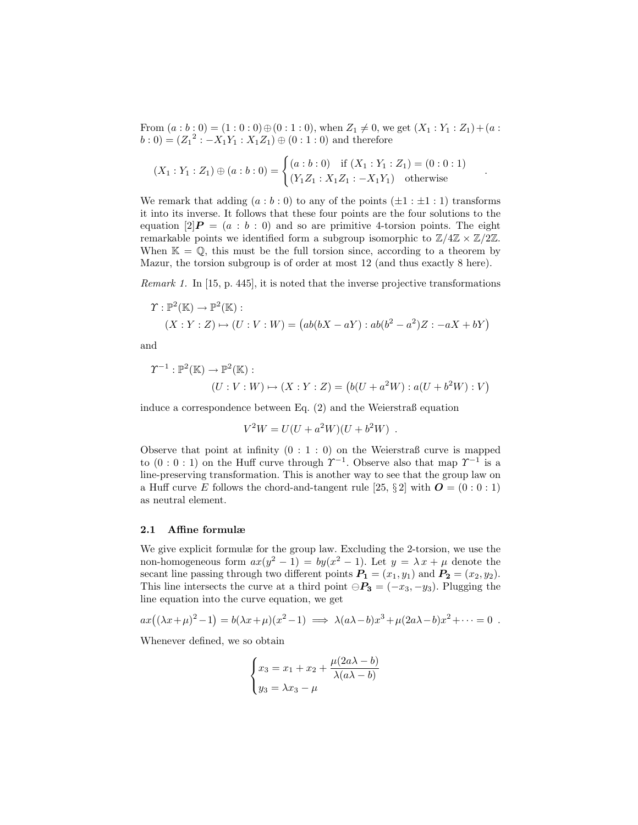From  $(a:b:0) = (1:0:0) \oplus (0:1:0)$ , when  $Z_1 \neq 0$ , we get  $(X_1:Y_1:Z_1) + (a:b):$  $b: 0) = (Z_1^2: -X_1Y_1: X_1Z_1) \oplus (0:1:0)$  and therefore

.

$$
(X_1:Y_1:Z_1) \oplus (a:b:0) = \begin{cases} (a:b:0) & \text{if } (X_1:Y_1:Z_1) = (0:0:1) \\ (Y_1Z_1:X_1Z_1:-X_1Y_1) & \text{otherwise} \end{cases}
$$

We remark that adding  $(a:b:0)$  to any of the points  $(\pm 1 : \pm 1 : 1)$  transforms it into its inverse. It follows that these four points are the four solutions to the equation  $[2]P = (a : b : 0)$  and so are primitive 4-torsion points. The eight remarkable points we identified form a subgroup isomorphic to  $\mathbb{Z}/4\mathbb{Z} \times \mathbb{Z}/2\mathbb{Z}$ . When  $\mathbb{K} = \mathbb{Q}$ , this must be the full torsion since, according to a theorem by Mazur, the torsion subgroup is of order at most 12 (and thus exactly 8 here).

Remark 1. In [15, p. 445], it is noted that the inverse projective transformations

$$
\Upsilon : \mathbb{P}^2(\mathbb{K}) \to \mathbb{P}^2(\mathbb{K}) : (X : Y : Z) \mapsto (U : V : W) = (ab(bX - aY) : ab(b^2 - a^2)Z : -aX + bY)
$$

and

$$
\Upsilon^{-1} : \mathbb{P}^2(\mathbb{K}) \to \mathbb{P}^2(\mathbb{K}) : (U : V : W) \mapsto (X : Y : Z) = (b(U + a^2 W) : a(U + b^2 W) : V)
$$

induce a correspondence between Eq. (2) and the Weierstraß equation

$$
V^2W = U(U + a^2W)(U + b^2W) .
$$

Observe that point at infinity  $(0:1:0)$  on the Weierstraß curve is mapped to  $(0:0:1)$  on the Huff curve through  $\Upsilon^{-1}$ . Observe also that map  $\Upsilon^{-1}$  is a line-preserving transformation. This is another way to see that the group law on a Huff curve E follows the chord-and-tangent rule [25,  $\S 2$ ] with  $\mathbf{O} = (0:0:1)$ as neutral element.

#### 2.1 Affine formulæ

We give explicit formulæ for the group law. Excluding the 2-torsion, we use the non-homogeneous form  $ax(y^2 - 1) = by(x^2 - 1)$ . Let  $y = \lambda x + \mu$  denote the secant line passing through two different points  $P_1 = (x_1, y_1)$  and  $P_2 = (x_2, y_2)$ . This line intersects the curve at a third point  $\ominus P_3 = (-x_3, -y_3)$ . Plugging the line equation into the curve equation, we get

$$
ax((\lambda x + \mu)^2 - 1) = b(\lambda x + \mu)(x^2 - 1) \implies \lambda(a\lambda - b)x^3 + \mu(2a\lambda - b)x^2 + \dots = 0.
$$

Whenever defined, we so obtain

$$
\begin{cases}\nx_3 = x_1 + x_2 + \frac{\mu(2a\lambda - b)}{\lambda(a\lambda - b)} \\
y_3 = \lambda x_3 - \mu\n\end{cases}
$$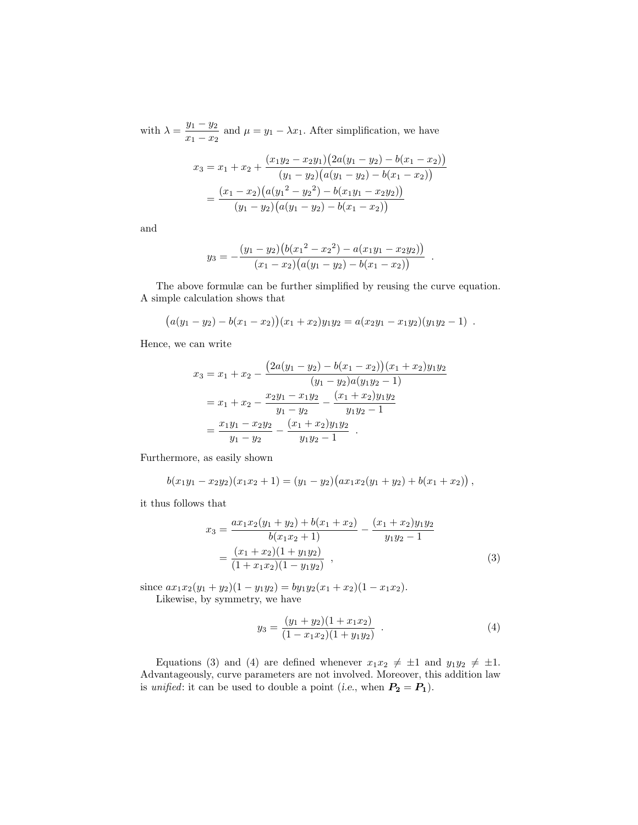with  $\lambda = \frac{y_1 - y_2}{\lambda}$  $\frac{y_1 - y_2}{x_1 - x_2}$  and  $\mu = y_1 - \lambda x_1$ . After simplification, we have

$$
x_3 = x_1 + x_2 + \frac{(x_1y_2 - x_2y_1)(2a(y_1 - y_2) - b(x_1 - x_2))}{(y_1 - y_2)(a(y_1 - y_2) - b(x_1 - x_2))}
$$
  
= 
$$
\frac{(x_1 - x_2)(a(y_1^2 - y_2^2) - b(x_1y_1 - x_2y_2))}{(y_1 - y_2)(a(y_1 - y_2) - b(x_1 - x_2))}
$$

and

$$
y_3 = -\frac{(y_1 - y_2)(b(x_1^2 - x_2^2) - a(x_1y_1 - x_2y_2))}{(x_1 - x_2)(a(y_1 - y_2) - b(x_1 - x_2))}.
$$

The above formulæ can be further simplified by reusing the curve equation. A simple calculation shows that

$$
(a(y_1 - y_2) - b(x_1 - x_2))(x_1 + x_2)y_1y_2 = a(x_2y_1 - x_1y_2)(y_1y_2 - 1).
$$

Hence, we can write

$$
x_3 = x_1 + x_2 - \frac{(2a(y_1 - y_2) - b(x_1 - x_2))(x_1 + x_2)y_1y_2}{(y_1 - y_2)a(y_1y_2 - 1)}
$$
  
=  $x_1 + x_2 - \frac{x_2y_1 - x_1y_2}{y_1 - y_2} - \frac{(x_1 + x_2)y_1y_2}{y_1y_2 - 1}$   
=  $\frac{x_1y_1 - x_2y_2}{y_1 - y_2} - \frac{(x_1 + x_2)y_1y_2}{y_1y_2 - 1}$ .

Furthermore, as easily shown

$$
b(x_1y_1-x_2y_2)(x_1x_2+1)=(y_1-y_2)(ax_1x_2(y_1+y_2)+b(x_1+x_2)),
$$

it thus follows that

$$
x_3 = \frac{ax_1x_2(y_1 + y_2) + b(x_1 + x_2)}{b(x_1x_2 + 1)} - \frac{(x_1 + x_2)y_1y_2}{y_1y_2 - 1}
$$
  
= 
$$
\frac{(x_1 + x_2)(1 + y_1y_2)}{(1 + x_1x_2)(1 - y_1y_2)},
$$
 (3)

since  $ax_1x_2(y_1 + y_2)(1 - y_1y_2) = by_1y_2(x_1 + x_2)(1 - x_1x_2)$ . Likewise, by symmetry, we have

$$
y_3 = \frac{(y_1 + y_2)(1 + x_1x_2)}{(1 - x_1x_2)(1 + y_1y_2)}.
$$
 (4)

Equations (3) and (4) are defined whenever  $x_1x_2 \neq \pm 1$  and  $y_1y_2 \neq \pm 1$ . Advantageously, curve parameters are not involved. Moreover, this addition law is unified: it can be used to double a point (i.e., when  $P_2 = P_1$ ).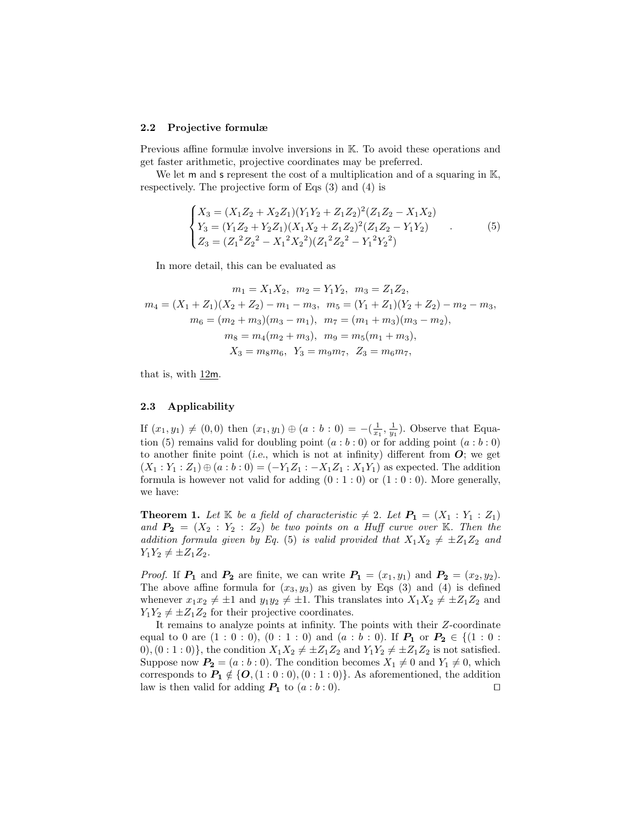### 2.2 Projective formulæ

Previous affine formulæ involve inversions in K. To avoid these operations and get faster arithmetic, projective coordinates may be preferred.

We let **m** and **s** represent the cost of a multiplication and of a squaring in  $K$ , respectively. The projective form of Eqs (3) and (4) is

$$
\begin{cases}\nX_3 = (X_1 Z_2 + X_2 Z_1)(Y_1 Y_2 + Z_1 Z_2)^2 (Z_1 Z_2 - X_1 X_2) \\
Y_3 = (Y_1 Z_2 + Y_2 Z_1)(X_1 X_2 + Z_1 Z_2)^2 (Z_1 Z_2 - Y_1 Y_2) \\
Z_3 = (Z_1^2 Z_2^2 - X_1^2 X_2^2)(Z_1^2 Z_2^2 - Y_1^2 Y_2^2)\n\end{cases} (5)
$$

In more detail, this can be evaluated as

$$
m_1 = X_1 X_2, \quad m_2 = Y_1 Y_2, \quad m_3 = Z_1 Z_2,
$$
  
\n
$$
m_4 = (X_1 + Z_1)(X_2 + Z_2) - m_1 - m_3, \quad m_5 = (Y_1 + Z_1)(Y_2 + Z_2) - m_2 - m_3,
$$
  
\n
$$
m_6 = (m_2 + m_3)(m_3 - m_1), \quad m_7 = (m_1 + m_3)(m_3 - m_2),
$$
  
\n
$$
m_8 = m_4(m_2 + m_3), \quad m_9 = m_5(m_1 + m_3),
$$
  
\n
$$
X_3 = m_8 m_6, \quad Y_3 = m_9 m_7, \quad Z_3 = m_6 m_7,
$$

that is, with  $12m$ .

## 2.3 Applicability

If  $(x_1, y_1) \neq (0, 0)$  then  $(x_1, y_1) \oplus (a : b : 0) = -(\frac{1}{x_1}, \frac{1}{y_1})$ . Observe that Equation (5) remains valid for doubling point  $(a:b:0)$  or for adding point  $(a:b:0)$ to another finite point (i.e., which is not at infinity) different from  $\boldsymbol{O}$ ; we get  $(X_1: Y_1: Z_1) \oplus (a:b:0) = (-Y_1Z_1:-X_1Z_1:X_1Y_1)$  as expected. The addition formula is however not valid for adding  $(0:1:0)$  or  $(1:0:0)$ . More generally, we have:

**Theorem 1.** Let  $\mathbb{K}$  be a field of characteristic  $\neq 2$ . Let  $P_1 = (X_1 : Y_1 : Z_1)$ and  $P_2 = (X_2 : Y_2 : Z_2)$  be two points on a Huff curve over K. Then the addition formula given by Eq. (5) is valid provided that  $X_1X_2 \neq \pm Z_1Z_2$  and  $Y_1Y_2 \neq \pm Z_1Z_2.$ 

*Proof.* If  $P_1$  and  $P_2$  are finite, we can write  $P_1 = (x_1, y_1)$  and  $P_2 = (x_2, y_2)$ . The above affine formula for  $(x_3, y_3)$  as given by Eqs (3) and (4) is defined whenever  $x_1x_2 \neq \pm 1$  and  $y_1y_2 \neq \pm 1$ . This translates into  $X_1X_2 \neq \pm Z_1Z_2$  and  $Y_1Y_2 \neq \pm Z_1Z_2$  for their projective coordinates.

It remains to analyze points at infinity. The points with their Z-coordinate equal to 0 are  $(1 : 0 : 0)$ ,  $(0 : 1 : 0)$  and  $(a : b : 0)$ . If  $P_1$  or  $P_2 \in \{(1 : 0 :$ 0),  $(0:1:0)$ , the condition  $X_1X_2 \neq \pm Z_1Z_2$  and  $Y_1Y_2 \neq \pm Z_1Z_2$  is not satisfied. Suppose now  $P_2 = (a:b:0)$ . The condition becomes  $X_1 \neq 0$  and  $Y_1 \neq 0$ , which corresponds to  $P_1 \notin \{O, (1:0:0), (0:1:0)\}\)$ . As aforementioned, the addition law is then valid for adding  $P_1$  to  $(a:b:0)$ . law is then valid for adding  $P_1$  to  $(a:b:0)$ .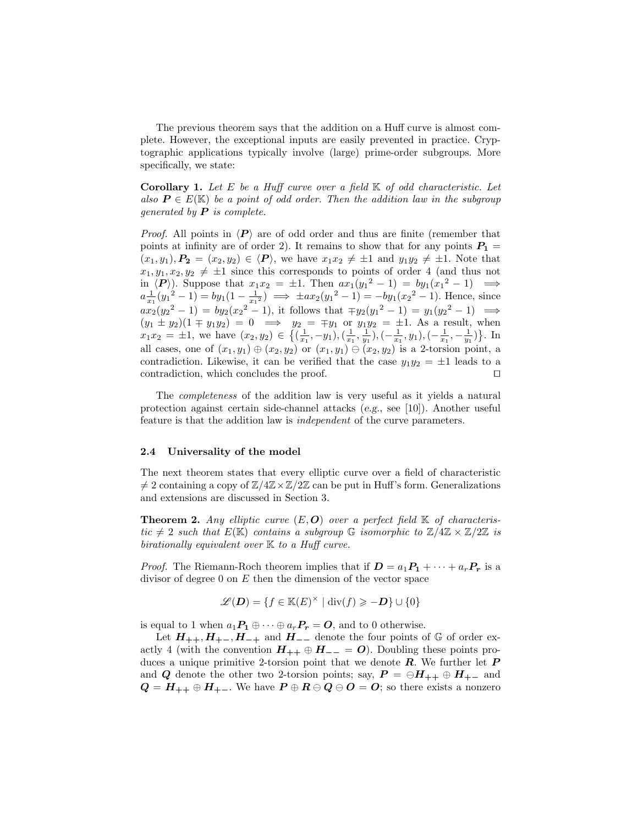The previous theorem says that the addition on a Huff curve is almost complete. However, the exceptional inputs are easily prevented in practice. Cryptographic applications typically involve (large) prime-order subgroups. More specifically, we state:

**Corollary 1.** Let E be a Huff curve over a field  $K$  of odd characteristic. Let also  $P \in E(\mathbb{K})$  be a point of odd order. Then the addition law in the subgroup generated by  $P$  is complete.

*Proof.* All points in  $\langle P \rangle$  are of odd order and thus are finite (remember that points at infinity are of order 2). It remains to show that for any points  $P_1 =$  $(x_1, y_1), P_2 = (x_2, y_2) \in \langle P \rangle$ , we have  $x_1 x_2 \neq \pm 1$  and  $y_1 y_2 \neq \pm 1$ . Note that  $x_1, y_1, x_2, y_2 \neq \pm 1$  since this corresponds to points of order 4 (and thus not in  $\langle P \rangle$ . Suppose that  $x_1 x_2 = \pm 1$ . Then  $ax_1(y_1^2 - 1) = by_1(x_1^2 - 1) \implies$  $a\frac{1}{x_1}(y_1^2-1) = by_1(1-\frac{1}{x_1^2}) \implies \pm ax_2(y_1^2-1) = -by_1(x_2^2-1)$ . Hence, since  $ax_2(y_2^2-1) = by_2(x_2^2-1)$ , it follows that  $\mp y_2(y_1^2-1) = y_1(y_2^2-1) \implies$  $(y_1 \pm y_2)(1 \mp y_1y_2) = 0 \implies y_2 = \mp y_1 \text{ or } y_1y_2 = \pm 1.$  As a result, when  $x_1x_2 = \pm 1$ , we have  $(x_2, y_2) \in \left\{ \left( \frac{1}{x_1}, -y_1 \right), \left( \frac{1}{x_1}, \frac{1}{y_1} \right), \left( -\frac{1}{x_1}, y_1 \right), \left( -\frac{1}{x_1}, -\frac{1}{y_1} \right) \right\}$ . In all cases, one of  $(x_1, y_1) \oplus (x_2, y_2)$  or  $(x_1, y_1) \oplus (x_2, y_2)$  is a 2-torsion point, a contradiction. Likewise, it can be verified that the case  $y_1y_2 = \pm 1$  leads to a contradiction, which concludes the proof. contradiction, which concludes the proof. ⊓⊔

The completeness of the addition law is very useful as it yields a natural protection against certain side-channel attacks (e.g., see [10]). Another useful feature is that the addition law is independent of the curve parameters.

#### 2.4 Universality of the model

The next theorem states that every elliptic curve over a field of characteristic  $\neq 2$  containing a copy of  $\mathbb{Z}/4\mathbb{Z}\times\mathbb{Z}/2\mathbb{Z}$  can be put in Huff's form. Generalizations and extensions are discussed in Section 3.

**Theorem 2.** Any elliptic curve  $(E, O)$  over a perfect field  $K$  of characteristic  $\neq 2$  such that  $E(\mathbb{K})$  contains a subgroup  $\mathbb{G}$  isomorphic to  $\mathbb{Z}/4\mathbb{Z} \times \mathbb{Z}/2\mathbb{Z}$  is birationally equivalent over  $K$  to a Huff curve.

*Proof.* The Riemann-Roch theorem implies that if  $D = a_1 P_1 + \cdots + a_r P_r$  is a divisor of degree 0 on  $E$  then the dimension of the vector space

$$
\mathscr{L}(\boldsymbol{D}) = \{f \in \mathbb{K}(E)^{\times} \mid \operatorname{div}(f) \geqslant -\boldsymbol{D}\} \cup \{0\}
$$

is equal to 1 when  $a_1P_1 \oplus \cdots \oplus a_rP_r = 0$ , and to 0 otherwise.

Let  $H_{++}, H_{+-}, H_{-+}$  and  $H_{--}$  denote the four points of  $\mathbb G$  of order exactly 4 (with the convention  $H_{++} \oplus H_{--} = O$ ). Doubling these points produces a unique primitive 2-torsion point that we denote  $\bm{R}$ . We further let  $\bm{P}$ and Q denote the other two 2-torsion points; say,  $P = \bigoplus H_{++} \oplus H_{+-}$  and  $Q = H_{++} \oplus H_{+-}$ . We have  $P \oplus R \ominus Q \ominus Q = O$ ; so there exists a nonzero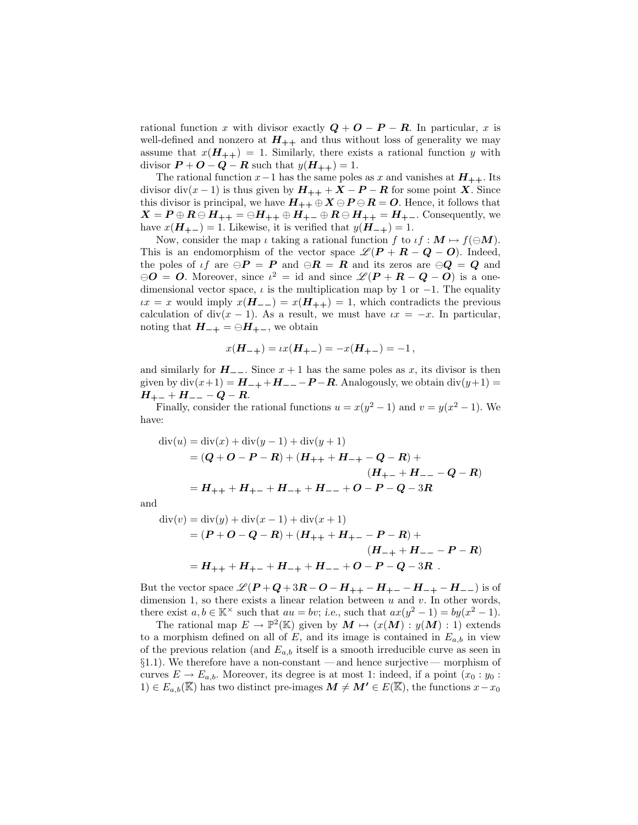rational function x with divisor exactly  $Q + O - P - R$ . In particular, x is well-defined and nonzero at  $H_{++}$  and thus without loss of generality we may assume that  $x(H_{++}) = 1$ . Similarly, there exists a rational function y with divisor  $P + O - Q - R$  such that  $y(H_{++}) = 1$ .

The rational function  $x-1$  has the same poles as x and vanishes at  $H_{++}$ . Its divisor div $(x - 1)$  is thus given by  $H_{++} + X - P - R$  for some point X. Since this divisor is principal, we have  $H_{++} \oplus X \ominus P \ominus R = O$ . Hence, it follows that  $X = P \oplus R \ominus H_{++} = \ominus H_{++} \oplus H_{+-} \oplus R \ominus H_{++} = H_{+-}$ . Consequently, we have  $x(H_{+-}) = 1$ . Likewise, it is verified that  $y(H_{-+}) = 1$ .

Now, consider the map  $\iota$  taking a rational function f to  $\iota f : M \mapsto f(\ominus M)$ . This is an endomorphism of the vector space  $\mathscr{L}(P + R - Q - O)$ . Indeed, the poles of  $\iota f$  are  $\ominus P = P$  and  $\ominus R = R$  and its zeros are  $\ominus Q = Q$  and  $\Theta$  = 0. Moreover, since  $\iota^2 = id$  and since  $\mathscr{L}(P + R - Q - O)$  is a onedimensional vector space,  $\iota$  is the multiplication map by 1 or −1. The equality  $\iota x = x$  would imply  $x(H_{--}) = x(H_{++}) = 1$ , which contradicts the previous calculation of div $(x - 1)$ . As a result, we must have  $\iota x = -x$ . In particular, noting that  $H_{-+} = \bigoplus H_{+-}$ , we obtain

$$
x(\mathbf{H}_{-+}) = \iota x(\mathbf{H}_{+-}) = -x(\mathbf{H}_{+-}) = -1\,,
$$

and similarly for  $H_{-}$ . Since  $x + 1$  has the same poles as x, its divisor is then given by  $div(x+1) = H_{-+} + H_{--} - P - R$ . Analogously, we obtain  $div(y+1) =$  $H_{+-} + H_{--} - Q - R.$ 

Finally, consider the rational functions  $u = x(y^2 - 1)$  and  $v = y(x^2 - 1)$ . We have:

$$
\begin{aligned} \operatorname{div}(u) &= \operatorname{div}(x) + \operatorname{div}(y-1) + \operatorname{div}(y+1) \\ &= (\mathbf{Q} + \mathbf{O} - \mathbf{P} - \mathbf{R}) + (\mathbf{H}_{++} + \mathbf{H}_{-+} - \mathbf{Q} - \mathbf{R}) + \\ &\quad (\mathbf{H}_{+-} + \mathbf{H}_{--} - \mathbf{Q} - \mathbf{R}) \\ &= \mathbf{H}_{++} + \mathbf{H}_{+-} + \mathbf{H}_{-+} + \mathbf{H}_{--} + \mathbf{O} - \mathbf{P} - \mathbf{Q} - 3\mathbf{R} \end{aligned}
$$

and

$$
div(v) = div(y) + div(x - 1) + div(x + 1)
$$
  
=  $(P + O - Q - R) + (H_{++} + H_{+-} - P - R) +$   
 $(H_{-+} + H_{--} - P - R)$   
=  $H_{++} + H_{+-} + H_{-+} + H_{--} + O - P - Q - 3R$ .

But the vector space  $\mathcal{L}(P+Q+3R-O-H_{++}-H_{+-}-H_{-+}-H_{--})$  is of dimension 1, so there exists a linear relation between  $u$  and  $v$ . In other words, there exist  $a, b \in \mathbb{K}^{\times}$  such that  $au = bv$ ; i.e., such that  $ax(y^2 - 1) = by(x^2 - 1)$ .

The rational map  $E \to \mathbb{P}^2(\mathbb{K})$  given by  $M \mapsto (x(M) : y(M) : 1)$  extends to a morphism defined on all of E, and its image is contained in  $E_{a,b}$  in view of the previous relation (and  $E_{a,b}$  itself is a smooth irreducible curve as seen in  $\S1.1$ ). We therefore have a non-constant — and hence surjective — morphism of curves  $E \to E_{a,b}$ . Moreover, its degree is at most 1: indeed, if a point  $(x_0 : y_0 :$ 1) ∈  $E_{a,b}(\overline{\mathbb{K}})$  has two distinct pre-images  $M \neq M' \in E(\overline{\mathbb{K}})$ , the functions  $x-x_0$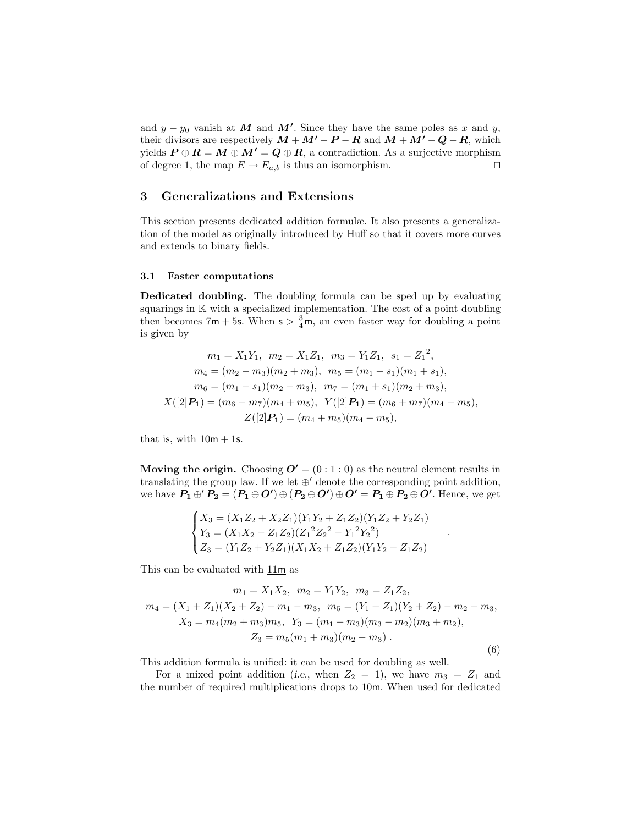and  $y - y_0$  vanish at M and M'. Since they have the same poles as x and y, their divisors are respectively  $M + M' - P - R$  and  $M + M' - Q - R$ , which yields  $P \oplus R = M \oplus M' = Q \oplus R$ , a contradiction. As a surjective morphism of degree 1, the map  $E \to E_{a,b}$  is thus an isomorphism. of degree 1, the map  $E \to E_{a,b}$  is thus an isomorphism.

## 3 Generalizations and Extensions

This section presents dedicated addition formulæ. It also presents a generalization of the model as originally introduced by Huff so that it covers more curves and extends to binary fields.

## 3.1 Faster computations

Dedicated doubling. The doubling formula can be sped up by evaluating squarings in K with a specialized implementation. The cost of a point doubling then becomes  $\frac{7m + 5s}{2}$ . When  $s > \frac{3}{4}m$ , an even faster way for doubling a point is given by

$$
m_1 = X_1 Y_1, \quad m_2 = X_1 Z_1, \quad m_3 = Y_1 Z_1, \quad s_1 = Z_1^2,
$$
  
\n
$$
m_4 = (m_2 - m_3)(m_2 + m_3), \quad m_5 = (m_1 - s_1)(m_1 + s_1),
$$
  
\n
$$
m_6 = (m_1 - s_1)(m_2 - m_3), \quad m_7 = (m_1 + s_1)(m_2 + m_3),
$$
  
\n
$$
X([2]P_1) = (m_6 - m_7)(m_4 + m_5), \quad Y([2]P_1) = (m_6 + m_7)(m_4 - m_5),
$$
  
\n
$$
Z([2]P_1) = (m_4 + m_5)(m_4 - m_5),
$$

that is, with  $10m + 1s$ .

Moving the origin. Choosing  $\mathbf{O'} = (0:1:0)$  as the neutral element results in translating the group law. If we let  $\oplus'$  denote the corresponding point addition, we have  $P_1 \oplus P_2 = (P_1 \ominus O') \oplus (P_2 \ominus O') \oplus O' = P_1 \oplus P_2 \oplus O'$ . Hence, we get

$$
\begin{cases}\nX_3 = (X_1Z_2 + X_2Z_1)(Y_1Y_2 + Z_1Z_2)(Y_1Z_2 + Y_2Z_1) \\
Y_3 = (X_1X_2 - Z_1Z_2)(Z_1^2Z_2^2 - Y_1^2Y_2^2) \\
Z_3 = (Y_1Z_2 + Y_2Z_1)(X_1X_2 + Z_1Z_2)(Y_1Y_2 - Z_1Z_2)\n\end{cases}
$$

.

This can be evaluated with 11m as

$$
m_1 = X_1 X_2, \quad m_2 = Y_1 Y_2, \quad m_3 = Z_1 Z_2,
$$
  
\n
$$
m_4 = (X_1 + Z_1)(X_2 + Z_2) - m_1 - m_3, \quad m_5 = (Y_1 + Z_1)(Y_2 + Z_2) - m_2 - m_3,
$$
  
\n
$$
X_3 = m_4(m_2 + m_3)m_5, \quad Y_3 = (m_1 - m_3)(m_3 - m_2)(m_3 + m_2),
$$
  
\n
$$
Z_3 = m_5(m_1 + m_3)(m_2 - m_3).
$$
\n(6)

This addition formula is unified: it can be used for doubling as well.

For a mixed point addition (i.e., when  $Z_2 = 1$ ), we have  $m_3 = Z_1$  and the number of required multiplications drops to 10m. When used for dedicated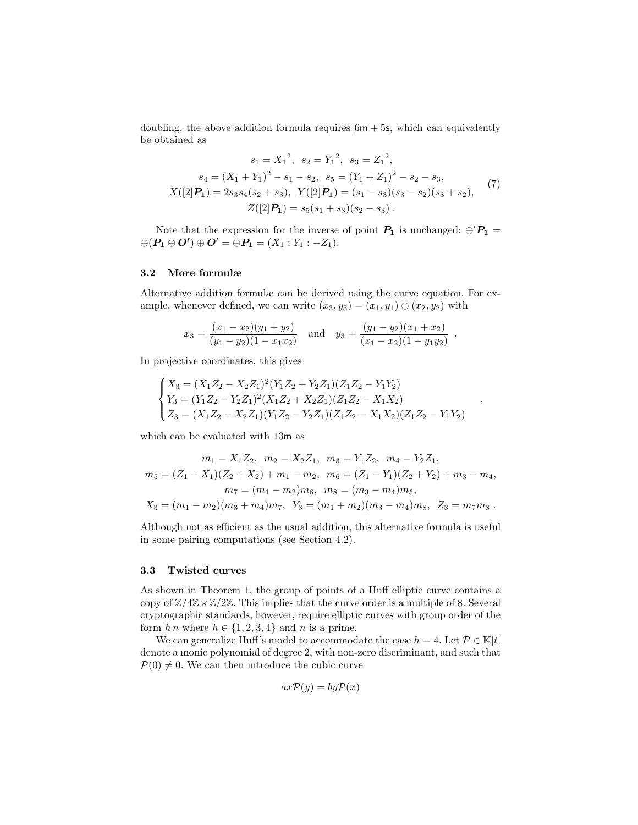doubling, the above addition formula requires  $6m + 5s$ , which can equivalently be obtained as

$$
s_1 = X_1^2, \quad s_2 = Y_1^2, \quad s_3 = Z_1^2,
$$
  
\n
$$
s_4 = (X_1 + Y_1)^2 - s_1 - s_2, \quad s_5 = (Y_1 + Z_1)^2 - s_2 - s_3,
$$
  
\n
$$
X([2]P_1) = 2s_3s_4(s_2 + s_3), \quad Y([2]P_1) = (s_1 - s_3)(s_3 - s_2)(s_3 + s_2),
$$
  
\n
$$
Z([2]P_1) = s_5(s_1 + s_3)(s_2 - s_3).
$$
\n(7)

Note that the expression for the inverse of point  $P_1$  is unchanged:  $\ominus' P_1$  =  $\ominus(P_1 \ominus O') \oplus O' = \ominus P_1 = (X_1 : Y_1 : -Z_1).$ 

## 3.2 More formulæ

Alternative addition formulæ can be derived using the curve equation. For example, whenever defined, we can write  $(x_3, y_3) = (x_1, y_1) \oplus (x_2, y_2)$  with

$$
x_3 = \frac{(x_1 - x_2)(y_1 + y_2)}{(y_1 - y_2)(1 - x_1x_2)} \quad \text{and} \quad y_3 = \frac{(y_1 - y_2)(x_1 + x_2)}{(x_1 - x_2)(1 - y_1y_2)}
$$

.

,

In projective coordinates, this gives

$$
\begin{cases}\nX_3 = (X_1Z_2 - X_2Z_1)^2(Y_1Z_2 + Y_2Z_1)(Z_1Z_2 - Y_1Y_2) \\
Y_3 = (Y_1Z_2 - Y_2Z_1)^2(X_1Z_2 + X_2Z_1)(Z_1Z_2 - X_1X_2) \\
Z_3 = (X_1Z_2 - X_2Z_1)(Y_1Z_2 - Y_2Z_1)(Z_1Z_2 - X_1X_2)(Z_1Z_2 - Y_1Y_2)\n\end{cases}
$$

which can be evaluated with 13m as

$$
m_1 = X_1 Z_2, \quad m_2 = X_2 Z_1, \quad m_3 = Y_1 Z_2, \quad m_4 = Y_2 Z_1,
$$
  
\n
$$
m_5 = (Z_1 - X_1)(Z_2 + X_2) + m_1 - m_2, \quad m_6 = (Z_1 - Y_1)(Z_2 + Y_2) + m_3 - m_4,
$$
  
\n
$$
m_7 = (m_1 - m_2)m_6, \quad m_8 = (m_3 - m_4)m_5,
$$
  
\n
$$
X_3 = (m_1 - m_2)(m_3 + m_4)m_7, \quad Y_3 = (m_1 + m_2)(m_3 - m_4)m_8, \quad Z_3 = m_7 m_8.
$$

Although not as efficient as the usual addition, this alternative formula is useful in some pairing computations (see Section 4.2).

### 3.3 Twisted curves

As shown in Theorem 1, the group of points of a Huff elliptic curve contains a copy of  $\mathbb{Z}/4\mathbb{Z}\times\mathbb{Z}/2\mathbb{Z}$ . This implies that the curve order is a multiple of 8. Several cryptographic standards, however, require elliptic curves with group order of the form  $h n$  where  $h \in \{1, 2, 3, 4\}$  and n is a prime.

We can generalize Huff's model to accommodate the case  $h = 4$ . Let  $\mathcal{P} \in \mathbb{K}[t]$ denote a monic polynomial of degree 2, with non-zero discriminant, and such that  $\mathcal{P}(0) \neq 0$ . We can then introduce the cubic curve

$$
ax\mathcal{P}(y) = by\mathcal{P}(x)
$$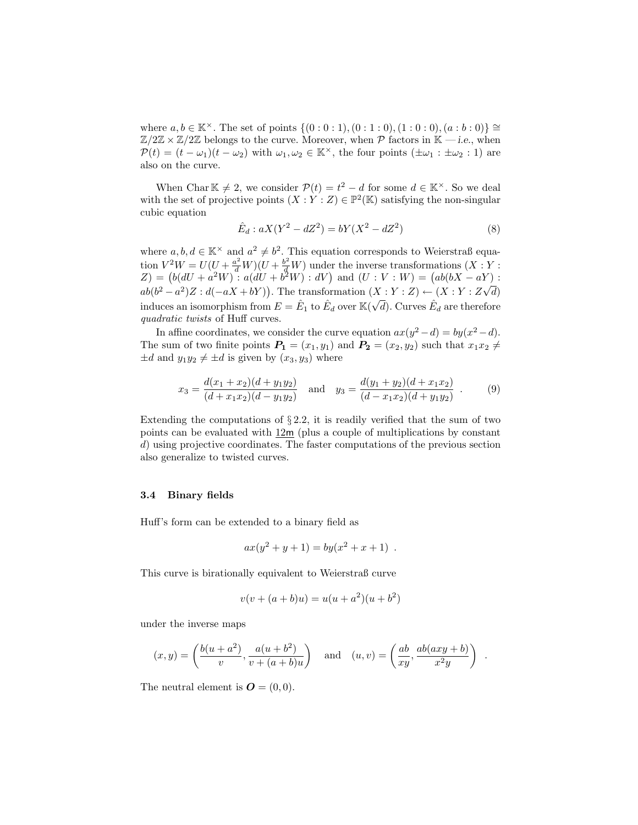where  $a, b \in \mathbb{K}^{\times}$ . The set of points  $\{(0:0:1), (0:1:0), (1:0:0), (a:b:0)\}\cong$  $\mathbb{Z}/2\mathbb{Z} \times \mathbb{Z}/2\mathbb{Z}$  belongs to the curve. Moreover, when P factors in K — i.e., when  $\mathcal{P}(t) = (t - \omega_1)(t - \omega_2)$  with  $\omega_1, \omega_2 \in \mathbb{K}^\times$ , the four points  $(\pm \omega_1 : \pm \omega_2 : 1)$  are also on the curve.

When Char  $\mathbb{K} \neq 2$ , we consider  $\mathcal{P}(t) = t^2 - d$  for some  $d \in \mathbb{K}^\times$ . So we deal with the set of projective points  $(X:Y:Z) \in \mathbb{P}^2(\mathbb{K})$  satisfying the non-singular cubic equation

$$
\hat{E}_d: aX(Y^2 - dZ^2) = bY(X^2 - dZ^2)
$$
\n(8)

where  $a, b, d \in \mathbb{K}^{\times}$  and  $a^2 \neq b^2$ . This equation corresponds to Weierstraß equation  $V^2W = U(U + \frac{a^2}{d}W)(U + \frac{b^2}{d}W)$  under the inverse transformations  $(X:Y:Y)$  $Z$ ) =  $(b(dU + a^2W) : a(dU + b^2W) : dV)$  and  $(U : V : W) = (ab(bX - aY))$ :  $ab(b^2 - a^2)Z : d(-aX + bY)$ ). The transformation  $(X:Y:Z) \leftarrow (X:Y:Z\sqrt{d})$ induces an isomorphism from  $E = \hat{E}_1$  to  $\hat{E}_d$  over  $\mathbb{K}(\sqrt{d})$ . Curves  $\hat{E}_d$  are therefore quadratic twists of Huff curves.

In affine coordinates, we consider the curve equation  $ax(y^2 - d) = by(x^2 - d)$ . The sum of two finite points  $P_1 = (x_1, y_1)$  and  $P_2 = (x_2, y_2)$  such that  $x_1x_2 \neq$  $\pm d$  and  $y_1y_2 \neq \pm d$  is given by  $(x_3, y_3)$  where

$$
x_3 = \frac{d(x_1 + x_2)(d + y_1y_2)}{(d + x_1x_2)(d - y_1y_2)} \quad \text{and} \quad y_3 = \frac{d(y_1 + y_2)(d + x_1x_2)}{(d - x_1x_2)(d + y_1y_2)} \quad . \tag{9}
$$

Extending the computations of  $\S 2.2$ , it is readily verified that the sum of two points can be evaluated with  $12m$  (plus a couple of multiplications by constant d) using projective coordinates. The faster computations of the previous section also generalize to twisted curves.

### 3.4 Binary fields

Huff's form can be extended to a binary field as

$$
ax(y^2 + y + 1) = by(x^2 + x + 1) .
$$

This curve is birationally equivalent to Weierstraß curve

$$
v(v + (a+b)u) = u(u + a2)(u + b2)
$$

under the inverse maps

$$
(x,y) = \left(\frac{b(u+a^2)}{v}, \frac{a(u+b^2)}{v+(a+b)u}\right) \quad \text{and} \quad (u,v) = \left(\frac{ab}{xy}, \frac{ab(axy+b)}{x^2y}\right) \enspace .
$$

The neutral element is  $\mathbf{O} = (0, 0)$ .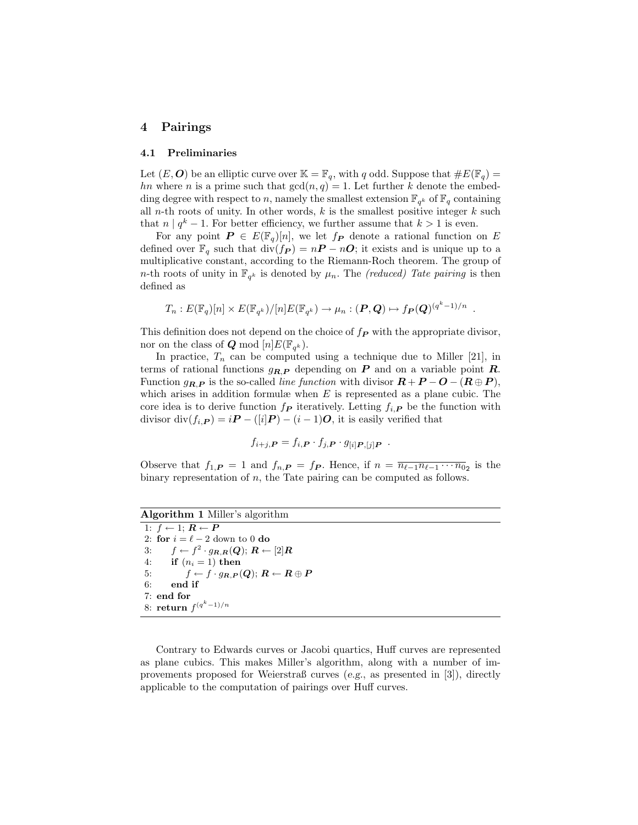## 4 Pairings

### 4.1 Preliminaries

Let  $(E, O)$  be an elliptic curve over  $\mathbb{K} = \mathbb{F}_q$ , with q odd. Suppose that  $\#E(\mathbb{F}_q)$ hn where n is a prime such that  $gcd(n, q) = 1$ . Let further k denote the embedding degree with respect to n, namely the smallest extension  $\mathbb{F}_{q^k}$  of  $\mathbb{F}_q$  containing all *n*-th roots of unity. In other words,  $k$  is the smallest positive integer  $k$  such that  $n | q^k - 1$ . For better efficiency, we further assume that  $k > 1$  is even.

For any point  $P \in E(\mathbb{F}_q)[n]$ , we let  $f_P$  denote a rational function on E defined over  $\mathbb{F}_q$  such that  $\text{div}(f_P) = nP - nO$ ; it exists and is unique up to a multiplicative constant, according to the Riemann-Roch theorem. The group of *n*-th roots of unity in  $\mathbb{F}_{q^k}$  is denoted by  $\mu_n$ . The *(reduced)* Tate pairing is then defined as

$$
T_n: E(\mathbb{F}_q)[n] \times E(\mathbb{F}_{q^k})/[n]E(\mathbb{F}_{q^k}) \to \mu_n: (\mathbf{P}, \mathbf{Q}) \mapsto f_{\mathbf{P}}(\mathbf{Q})^{(q^k-1)/n}
$$

.

This definition does not depend on the choice of  $f_P$  with the appropriate divisor, nor on the class of  $Q \mod [n] E(\mathbb{F}_{q^k})$ .

In practice,  $T_n$  can be computed using a technique due to Miller [21], in terms of rational functions  $g_{R,P}$  depending on P and on a variable point R. Function  $g_{R,P}$  is the so-called *line function* with divisor  $R + P - O - (R \oplus P)$ , which arises in addition formulæ when  $E$  is represented as a plane cubic. The core idea is to derive function  $f_P$  iteratively. Letting  $f_{i,P}$  be the function with divisor div $(f_{i,\mathbf{P}}) = i\mathbf{P} - ([i]\mathbf{P}) - (i-1)\mathbf{O}$ , it is easily verified that

$$
f_{i+j,\boldsymbol{P}} = f_{i,\boldsymbol{P}} \cdot f_{j,\boldsymbol{P}} \cdot g_{[i] \boldsymbol{P}, [j] \boldsymbol{P}}.
$$

Observe that  $f_{1,\mathbf{P}} = 1$  and  $f_{n,\mathbf{P}} = f_{\mathbf{P}}$ . Hence, if  $n = \overline{n_{\ell-1} n_{\ell-1} \cdots n_{0}}_2$  is the binary representation of  $n$ , the Tate pairing can be computed as follows.

Algorithm 1 Miller's algorithm

1:  $f \leftarrow 1$ ;  $R \leftarrow P$ 2: for  $i = \ell - 2$  down to 0 do 3:  $f \leftarrow f^2 \cdot g_{\boldsymbol{R},\boldsymbol{R}}(\boldsymbol{Q}); \, \boldsymbol{R} \leftarrow [2] \boldsymbol{R}$ 4: if  $(n_i = 1)$  then 5:  $f \leftarrow f \cdot g_{R,P}(Q); R \leftarrow R \oplus P$ 6: end if 7: end for 8: return  $f^{(q^k-1)/n}$ 

Contrary to Edwards curves or Jacobi quartics, Huff curves are represented as plane cubics. This makes Miller's algorithm, along with a number of improvements proposed for Weierstraß curves (e.g., as presented in [3]), directly applicable to the computation of pairings over Huff curves.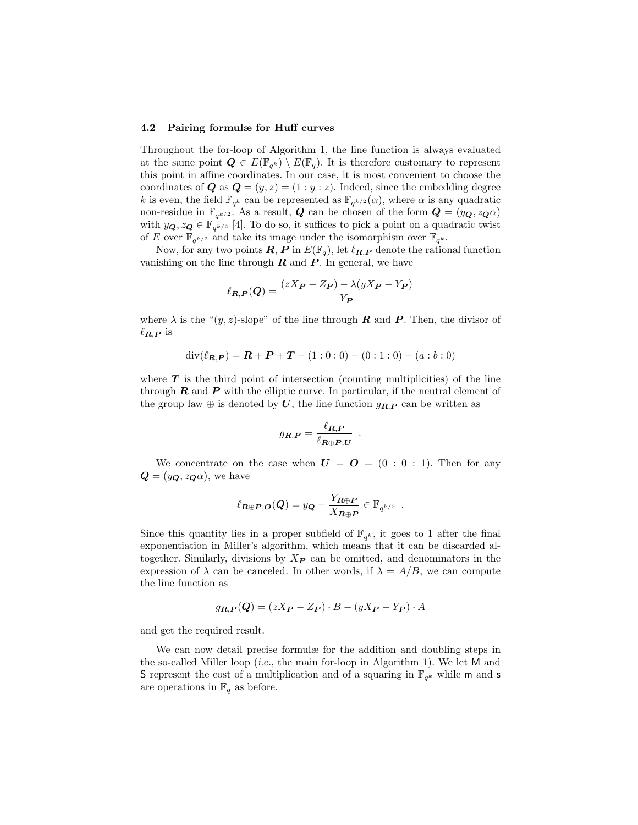#### 4.2 Pairing formulæ for Huff curves

Throughout the for-loop of Algorithm 1, the line function is always evaluated at the same point  $\mathbf{Q} \in E(\mathbb{F}_{q^k}) \setminus E(\mathbb{F}_q)$ . It is therefore customary to represent this point in affine coordinates. In our case, it is most convenient to choose the coordinates of **Q** as  $\mathbf{Q} = (y, z) = (1 : y : z)$ . Indeed, since the embedding degree k is even, the field  $\mathbb{F}_{q^k}$  can be represented as  $\mathbb{F}_{q^{k/2}}(\alpha)$ , where  $\alpha$  is any quadratic non-residue in  $\mathbb{F}_{q^{k/2}}$ . As a result,  $Q$  can be chosen of the form  $Q = (y_Q, z_Q \alpha)$ with  $y_{\mathbf{Q}}, z_{\mathbf{Q}} \in \mathbb{F}_{q^{k/2}}$  [4]. To do so, it suffices to pick a point on a quadratic twist of E over  $\mathbb{F}_{q^{k/2}}$  and take its image under the isomorphism over  $\mathbb{F}_{q^k}$ .

Now, for any two points  $\mathbf{R}, \mathbf{P}$  in  $E(\mathbb{F}_q)$ , let  $\ell_{\mathbf{R},\mathbf{P}}$  denote the rational function vanishing on the line through  $R$  and  $P$ . In general, we have

$$
\ell_{R,P}(Q) = \frac{(zX_P - Z_P) - \lambda(yX_P - Y_P)}{Y_P}
$$

where  $\lambda$  is the " $(y, z)$ -slope" of the line through **R** and **P**. Then, the divisor of  $\ell_{\boldsymbol{R},\boldsymbol{P}}$  is

$$
\operatorname{div}(\ell_{\boldsymbol{R},\boldsymbol{P}}) = \boldsymbol{R} + \boldsymbol{P} + \boldsymbol{T} - (1:0:0) - (0:1:0) - (a:b:0)
$$

where  $T$  is the third point of intersection (counting multiplicities) of the line through  $R$  and  $P$  with the elliptic curve. In particular, if the neutral element of the group law  $\oplus$  is denoted by U, the line function  $g_{R,P}$  can be written as

$$
g_{R,P} = \frac{\ell_{R,P}}{\ell_{R\oplus P,U}}.
$$

We concentrate on the case when  $U = O = (0 : 0 : 1)$ . Then for any  $\mathbf{Q} = (y_{\mathbf{Q}}, z_{\mathbf{Q}}\alpha)$ , we have

$$
\ell_{\mathbf{R}\oplus\mathbf{P},\mathbf{O}}(\mathbf{Q})=y_{\mathbf{Q}}-\frac{Y_{\mathbf{R}\oplus\mathbf{P}}}{X_{\mathbf{R}\oplus\mathbf{P}}}\in\mathbb{F}_{q^{k/2}}.
$$

Since this quantity lies in a proper subfield of  $\mathbb{F}_{q^k}$ , it goes to 1 after the final exponentiation in Miller's algorithm, which means that it can be discarded altogether. Similarly, divisions by  $X_{P}$  can be omitted, and denominators in the expression of  $\lambda$  can be canceled. In other words, if  $\lambda = A/B$ , we can compute the line function as

$$
g_{R,P}(Q) = (zX_{P} - Z_{P}) \cdot B - (yX_{P} - Y_{P}) \cdot A
$$

and get the required result.

We can now detail precise formulæ for the addition and doubling steps in the so-called Miller loop (i.e., the main for-loop in Algorithm 1). We let M and S represent the cost of a multiplication and of a squaring in  $\mathbb{F}_{q^k}$  while m and s are operations in  $\mathbb{F}_q$  as before.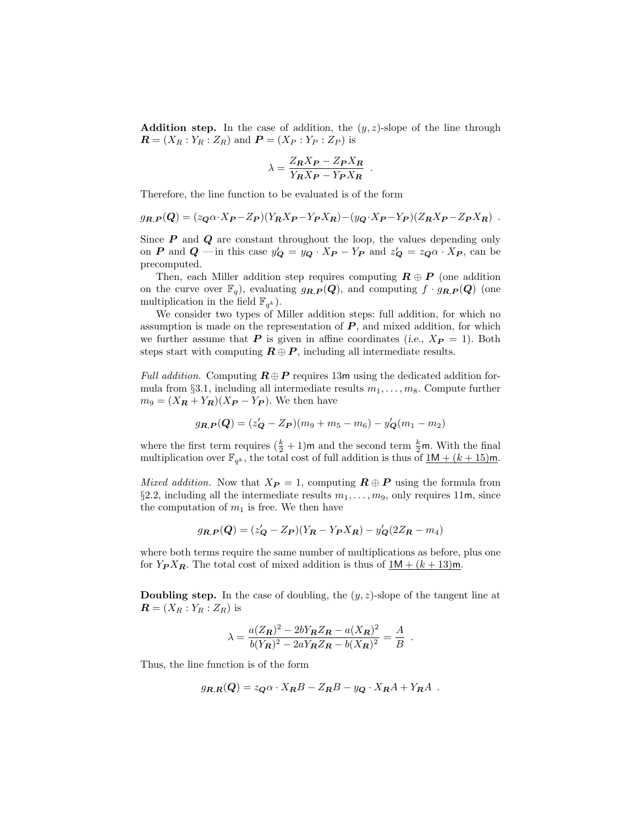**Addition step.** In the case of addition, the  $(y, z)$ -slope of the line through  $\boldsymbol{R} = (X_R : Y_R : Z_R)$  and  $\boldsymbol{P} = (X_P : Y_P : Z_P)$  is

$$
\lambda = \frac{Z_R X_P - Z_P X_R}{Y_R X_P - Y_P X_R}
$$

.

Therefore, the line function to be evaluated is of the form

$$
g_{R,P}(Q) = (z_Q \alpha \cdot X_P - Z_P)(Y_R X_P - Y_P X_R) - (y_Q \cdot X_P - Y_P)(Z_R X_P - Z_P X_R) .
$$

Since  $P$  and  $Q$  are constant throughout the loop, the values depending only on P and Q — in this case  $y'_{\mathbf{Q}} = y_{\mathbf{Q}} \cdot X_{\mathbf{P}} - Y_{\mathbf{P}}$  and  $z'_{\mathbf{Q}} = z_{\mathbf{Q}} \alpha \cdot X_{\mathbf{P}}$ , can be precomputed.

Then, each Miller addition step requires computing  $\mathbf{R} \oplus \mathbf{P}$  (one addition on the curve over  $\mathbb{F}_q$ , evaluating  $g_{R,P}(Q)$ , and computing  $f \cdot g_{R,P}(Q)$  (one multiplication in the field  $\mathbb{F}_{q^k}$ ).

We consider two types of Miller addition steps: full addition, for which no assumption is made on the representation of  $P$ , and mixed addition, for which we further assume that **P** is given in affine coordinates (i.e.,  $X_{\textbf{P}} = 1$ ). Both steps start with computing  $\mathbf{R} \oplus \mathbf{P}$ , including all intermediate results.

Full addition. Computing  $\mathbf{R} \oplus \mathbf{P}$  requires 13m using the dedicated addition formula from §3.1, including all intermediate results  $m_1, \ldots, m_8$ . Compute further  $m_9 = (X_R + Y_R)(X_P - Y_P)$ . We then have

$$
g_{R,P}(Q) = (z'_Q - Z_P)(m_9 + m_5 - m_6) - y'_Q(m_1 - m_2)
$$

where the first term requires  $(\frac{k}{2} + 1)$ m and the second term  $\frac{k}{2}$ m. With the final multiplication over  $\mathbb{F}_{q^k}$ , the total cost of full addition is thus of  $\underline{1M + (k+15)m}$ .

Mixed addition. Now that  $X_{\mathbf{P}} = 1$ , computing  $\mathbf{R} \oplus \mathbf{P}$  using the formula from §2.2, including all the intermediate results  $m_1, \ldots, m_9$ , only requires 11m, since the computation of  $m_1$  is free. We then have

$$
g_{R,P}(Q) = (z'_Q - Z_P)(Y_R - Y_P X_R) - y'_Q(2Z_R - m_4)
$$

where both terms require the same number of multiplications as before, plus one for  $Y_P X_R$ . The total cost of mixed addition is thus of  $1M + (k+13)m$ .

**Doubling step.** In the case of doubling, the  $(y, z)$ -slope of the tangent line at  $\boldsymbol{R} = (X_R : Y_R : Z_R)$  is

$$
\lambda = \frac{a(Z_{\mathbf{R}})^2 - 2bY_{\mathbf{R}}Z_{\mathbf{R}} - a(X_{\mathbf{R}})^2}{b(Y_{\mathbf{R}})^2 - 2aY_{\mathbf{R}}Z_{\mathbf{R}} - b(X_{\mathbf{R}})^2} = \frac{A}{B}.
$$

Thus, the line function is of the form

$$
g_{R,R}(Q) = z_Q \alpha \cdot X_R B - Z_R B - y_Q \cdot X_R A + Y_R A .
$$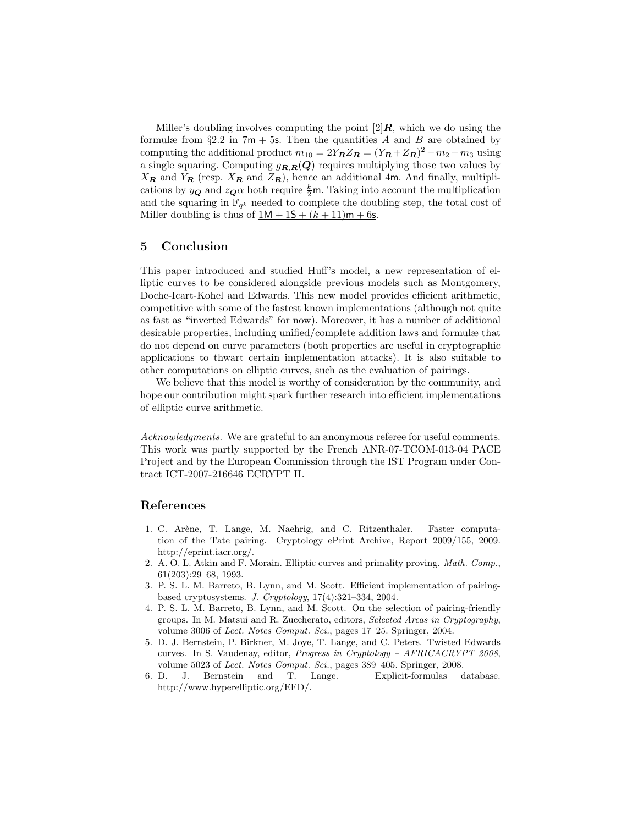Miller's doubling involves computing the point  $[2]$ **R**, which we do using the formulæ from  $\S 2.2$  in  $7m + 5s$ . Then the quantities A and B are obtained by computing the additional product  $m_{10} = 2Y_R Z_R = (Y_R + Z_R)^2 - m_2 - m_3$  using a single squaring. Computing  $g_{R,R}(Q)$  requires multiplying those two values by  $X_{\mathbf{R}}$  and  $Y_{\mathbf{R}}$  (resp.  $X_{\mathbf{R}}$  and  $Z_{\mathbf{R}}$ ), hence an additional 4m. And finally, multiplications by  $y_{\mathbf{Q}}$  and  $z_{\mathbf{Q}}\alpha$  both require  $\frac{k}{2}$ m. Taking into account the multiplication and the squaring in  $\mathbb{F}_{q^k}$  needed to complete the doubling step, the total cost of Miller doubling is thus of  $1M + 1S + (k + 11)m + 6s$ .

## 5 Conclusion

This paper introduced and studied Huff's model, a new representation of elliptic curves to be considered alongside previous models such as Montgomery, Doche-Icart-Kohel and Edwards. This new model provides efficient arithmetic, competitive with some of the fastest known implementations (although not quite as fast as "inverted Edwards" for now). Moreover, it has a number of additional desirable properties, including unified/complete addition laws and formulæ that do not depend on curve parameters (both properties are useful in cryptographic applications to thwart certain implementation attacks). It is also suitable to other computations on elliptic curves, such as the evaluation of pairings.

We believe that this model is worthy of consideration by the community, and hope our contribution might spark further research into efficient implementations of elliptic curve arithmetic.

Acknowledgments. We are grateful to an anonymous referee for useful comments. This work was partly supported by the French ANR-07-TCOM-013-04 PACE Project and by the European Commission through the IST Program under Contract ICT-2007-216646 ECRYPT II.

## References

- 1. C. Arène, T. Lange, M. Naehrig, and C. Ritzenthaler. Faster computation of the Tate pairing. Cryptology ePrint Archive, Report 2009/155, 2009. http://eprint.iacr.org/.
- 2. A. O. L. Atkin and F. Morain. Elliptic curves and primality proving. Math. Comp., 61(203):29–68, 1993.
- 3. P. S. L. M. Barreto, B. Lynn, and M. Scott. Efficient implementation of pairingbased cryptosystems. J. Cryptology, 17(4):321–334, 2004.
- 4. P. S. L. M. Barreto, B. Lynn, and M. Scott. On the selection of pairing-friendly groups. In M. Matsui and R. Zuccherato, editors, Selected Areas in Cryptography, volume 3006 of Lect. Notes Comput. Sci., pages 17–25. Springer, 2004.
- 5. D. J. Bernstein, P. Birkner, M. Joye, T. Lange, and C. Peters. Twisted Edwards curves. In S. Vaudenay, editor, Progress in Cryptology – AFRICACRYPT 2008, volume 5023 of Lect. Notes Comput. Sci., pages 389–405. Springer, 2008.
- 6. D. J. Bernstein and T. Lange. Explicit-formulas database. http://www.hyperelliptic.org/EFD/.